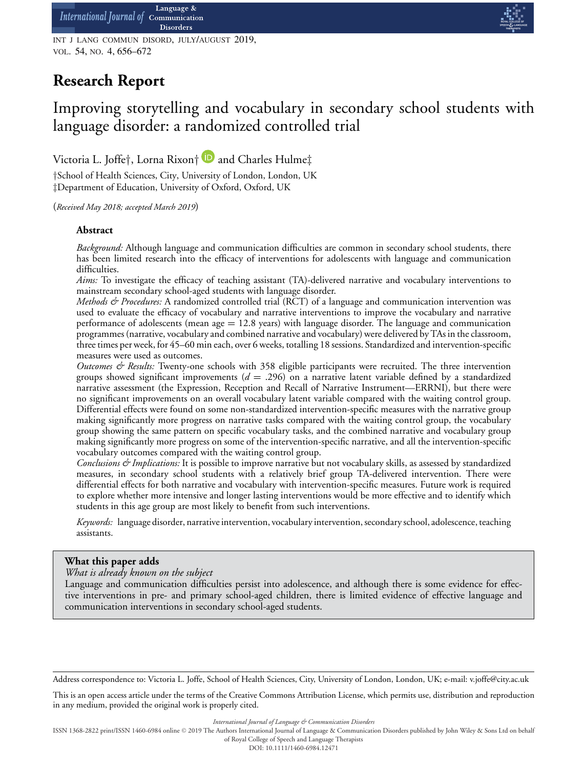INT J LANG COMMUN DISORD, JULY/AUGUST 2019, VOL. 54, NO. 4, 656–672

# **Research Report**

# Improving storytelling and vocabulary in secondary school students with language disorder: a randomized controlled trial

Victoria L. Joffe*†*, Lorna Rixon*†* and Charles Hulme*‡*

*†*School of Health Sciences, City, University of London, London, UK *‡*Department of Education, University of Oxford, Oxford, UK

(*Received May 2018; accepted March 2019*)

### **Abstract**

*Background:* Although language and communication difficulties are common in secondary school students, there has been limited research into the efficacy of interventions for adolescents with language and communication difficulties.

*Aims:* To investigate the efficacy of teaching assistant (TA)-delivered narrative and vocabulary interventions to mainstream secondary school-aged students with language disorder.

*Methods & Procedures:* A randomized controlled trial (RCT) of a language and communication intervention was used to evaluate the efficacy of vocabulary and narrative interventions to improve the vocabulary and narrative performance of adolescents (mean age = 12.8 years) with language disorder. The language and communication programmes (narrative, vocabulary and combined narrative and vocabulary) were delivered by TAs in the classroom, three times per week, for 45–60 min each, over 6 weeks, totalling 18 sessions. Standardized and intervention-specific measures were used as outcomes.

*Outcomes & Results:* Twenty-one schools with 358 eligible participants were recruited. The three intervention groups showed significant improvements (*d* = .296) on a narrative latent variable defined by a standardized narrative assessment (the Expression, Reception and Recall of Narrative Instrument—ERRNI), but there were no significant improvements on an overall vocabulary latent variable compared with the waiting control group. Differential effects were found on some non-standardized intervention-specific measures with the narrative group making significantly more progress on narrative tasks compared with the waiting control group, the vocabulary group showing the same pattern on specific vocabulary tasks, and the combined narrative and vocabulary group making significantly more progress on some of the intervention-specific narrative, and all the intervention-specific vocabulary outcomes compared with the waiting control group.

*Conclusions & Implications:* It is possible to improve narrative but not vocabulary skills, as assessed by standardized measures, in secondary school students with a relatively brief group TA-delivered intervention. There were differential effects for both narrative and vocabulary with intervention-specific measures. Future work is required to explore whether more intensive and longer lasting interventions would be more effective and to identify which students in this age group are most likely to benefit from such interventions.

*Keywords:* language disorder, narrative intervention, vocabulary intervention, secondary school, adolescence, teaching assistants.

### **What this paper adds**

*What is already known on the subject*

Language and communication difficulties persist into adolescence, and although there is some evidence for effective interventions in pre- and primary school-aged children, there is limited evidence of effective language and communication interventions in secondary school-aged students.

Address correspondence to: Victoria L. Joffe, School of Health Sciences, City, University of London, London, UK; e-mail: v.joffe@city.ac.uk

This is an open access article under the terms of the Creative Commons Attribution License, which permits use, distribution and reproduction in any medium, provided the original work is properly cited.

*International Journal of Language & Communication Disorders*

ISSN 1368-2822 print/ISSN 1460-6984 online © 2019 The Authors International Journal of Language & Communication Disorders published by John Wiley & Sons Ltd on behalf of Royal College of Speech and Language Therapists

DOI: 10.1111/1460-6984.12471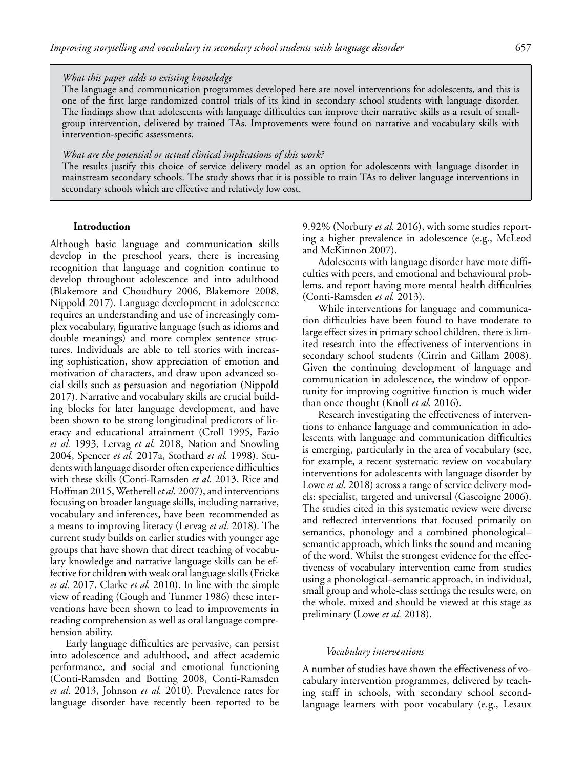#### *What this paper adds to existing knowledge*

The language and communication programmes developed here are novel interventions for adolescents, and this is one of the first large randomized control trials of its kind in secondary school students with language disorder. The findings show that adolescents with language difficulties can improve their narrative skills as a result of smallgroup intervention, delivered by trained TAs. Improvements were found on narrative and vocabulary skills with intervention-specific assessments.

#### *What are the potential or actual clinical implications of this work?*

The results justify this choice of service delivery model as an option for adolescents with language disorder in mainstream secondary schools. The study shows that it is possible to train TAs to deliver language interventions in secondary schools which are effective and relatively low cost.

### **Introduction**

Although basic language and communication skills develop in the preschool years, there is increasing recognition that language and cognition continue to develop throughout adolescence and into adulthood (Blakemore and Choudhury 2006, Blakemore 2008, Nippold 2017). Language development in adolescence requires an understanding and use of increasingly complex vocabulary, figurative language (such as idioms and double meanings) and more complex sentence structures. Individuals are able to tell stories with increasing sophistication, show appreciation of emotion and motivation of characters, and draw upon advanced social skills such as persuasion and negotiation (Nippold 2017). Narrative and vocabulary skills are crucial building blocks for later language development, and have been shown to be strong longitudinal predictors of literacy and educational attainment (Croll 1995, Fazio *et al.* 1993, Lervag *et al.* 2018, Nation and Snowling 2004, Spencer *et al.* 2017a, Stothard *et al.* 1998). Students with language disorder often experience difficulties with these skills (Conti-Ramsden *et al.* 2013, Rice and Hoffman 2015,Wetherell*et al.* 2007), and interventions focusing on broader language skills, including narrative, vocabulary and inferences, have been recommended as a means to improving literacy (Lervag *et al.* 2018). The current study builds on earlier studies with younger age groups that have shown that direct teaching of vocabulary knowledge and narrative language skills can be effective for children with weak oral language skills (Fricke *et al.* 2017, Clarke *et al.* 2010). In line with the simple view of reading (Gough and Tunmer 1986) these interventions have been shown to lead to improvements in reading comprehension as well as oral language comprehension ability.

Early language difficulties are pervasive, can persist into adolescence and adulthood, and affect academic performance, and social and emotional functioning (Conti-Ramsden and Botting 2008, Conti-Ramsden *et al*. 2013, Johnson *et al.* 2010). Prevalence rates for language disorder have recently been reported to be 9.92% (Norbury *et al.* 2016), with some studies reporting a higher prevalence in adolescence (e.g., McLeod and McKinnon 2007).

Adolescents with language disorder have more difficulties with peers, and emotional and behavioural problems, and report having more mental health difficulties (Conti-Ramsden *et al.* 2013).

While interventions for language and communication difficulties have been found to have moderate to large effect sizes in primary school children, there is limited research into the effectiveness of interventions in secondary school students (Cirrin and Gillam 2008). Given the continuing development of language and communication in adolescence, the window of opportunity for improving cognitive function is much wider than once thought (Knoll *et al.* 2016).

Research investigating the effectiveness of interventions to enhance language and communication in adolescents with language and communication difficulties is emerging, particularly in the area of vocabulary (see, for example, a recent systematic review on vocabulary interventions for adolescents with language disorder by Lowe *et al.* 2018) across a range of service delivery models: specialist, targeted and universal (Gascoigne 2006). The studies cited in this systematic review were diverse and reflected interventions that focused primarily on semantics, phonology and a combined phonological– semantic approach, which links the sound and meaning of the word. Whilst the strongest evidence for the effectiveness of vocabulary intervention came from studies using a phonological–semantic approach, in individual, small group and whole-class settings the results were, on the whole, mixed and should be viewed at this stage as preliminary (Lowe *et al.* 2018).

#### *Vocabulary interventions*

A number of studies have shown the effectiveness of vocabulary intervention programmes, delivered by teaching staff in schools, with secondary school secondlanguage learners with poor vocabulary (e.g., Lesaux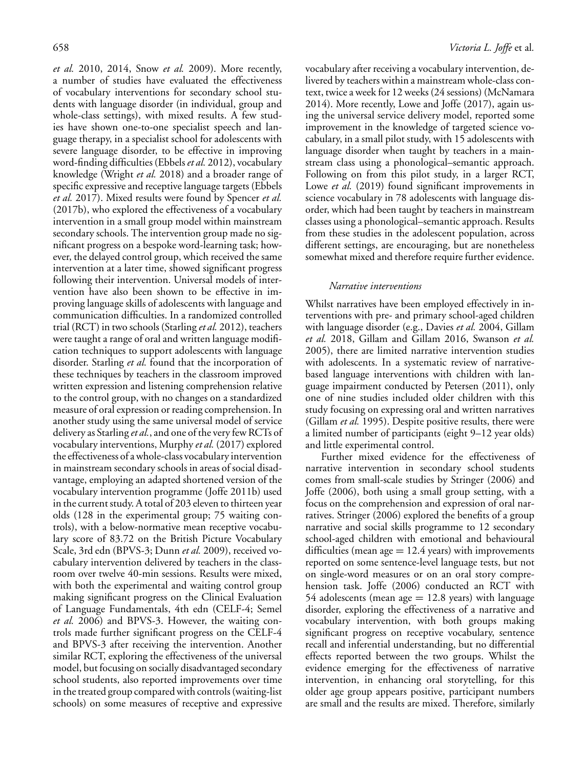*et al.* 2010, 2014, Snow *et al.* 2009). More recently, a number of studies have evaluated the effectiveness of vocabulary interventions for secondary school students with language disorder (in individual, group and whole-class settings), with mixed results. A few studies have shown one-to-one specialist speech and language therapy, in a specialist school for adolescents with severe language disorder, to be effective in improving word-finding difficulties (Ebbels*et al.* 2012), vocabulary knowledge (Wright *et al.* 2018) and a broader range of specific expressive and receptive language targets (Ebbels *et al.* 2017). Mixed results were found by Spencer *et al.* (2017b), who explored the effectiveness of a vocabulary intervention in a small group model within mainstream secondary schools. The intervention group made no significant progress on a bespoke word-learning task; however, the delayed control group, which received the same intervention at a later time, showed significant progress following their intervention. Universal models of intervention have also been shown to be effective in improving language skills of adolescents with language and communication difficulties. In a randomized controlled trial (RCT) in two schools (Starling *et al.* 2012), teachers were taught a range of oral and written language modification techniques to support adolescents with language disorder. Starling *et al.* found that the incorporation of these techniques by teachers in the classroom improved written expression and listening comprehension relative to the control group, with no changes on a standardized measure of oral expression or reading comprehension. In another study using the same universal model of service delivery as Starling *et al.*, and one of the very few RCTs of vocabulary interventions, Murphy *et al.* (2017) explored the effectiveness of a whole-class vocabulary intervention in mainstream secondary schools in areas of social disadvantage, employing an adapted shortened version of the vocabulary intervention programme (Joffe 2011b) used in the current study. A total of 203 eleven to thirteen year olds (128 in the experimental group; 75 waiting controls), with a below-normative mean receptive vocabulary score of 83.72 on the British Picture Vocabulary Scale, 3rd edn (BPVS-3; Dunn *et al.* 2009), received vocabulary intervention delivered by teachers in the classroom over twelve 40-min sessions. Results were mixed, with both the experimental and waiting control group making significant progress on the Clinical Evaluation of Language Fundamentals, 4th edn (CELF-4; Semel *et al.* 2006) and BPVS-3. However, the waiting controls made further significant progress on the CELF-4 and BPVS-3 after receiving the intervention. Another similar RCT, exploring the effectiveness of the universal model, but focusing on socially disadvantaged secondary school students, also reported improvements over time in the treated group compared with controls (waiting-list schools) on some measures of receptive and expressive

vocabulary after receiving a vocabulary intervention, delivered by teachers within a mainstream whole-class context, twice a week for 12 weeks (24 sessions) (McNamara 2014). More recently, Lowe and Joffe (2017), again using the universal service delivery model, reported some improvement in the knowledge of targeted science vocabulary, in a small pilot study, with 15 adolescents with language disorder when taught by teachers in a mainstream class using a phonological–semantic approach. Following on from this pilot study, in a larger RCT, Lowe *et al.* (2019) found significant improvements in science vocabulary in 78 adolescents with language disorder, which had been taught by teachers in mainstream classes using a phonological–semantic approach. Results from these studies in the adolescent population, across different settings, are encouraging, but are nonetheless somewhat mixed and therefore require further evidence.

#### *Narrative interventions*

Whilst narratives have been employed effectively in interventions with pre- and primary school-aged children with language disorder (e.g., Davies *et al.* 2004, Gillam *et al.* 2018, Gillam and Gillam 2016, Swanson *et al.* 2005), there are limited narrative intervention studies with adolescents. In a systematic review of narrativebased language interventions with children with language impairment conducted by Petersen (2011), only one of nine studies included older children with this study focusing on expressing oral and written narratives (Gillam *et al.* 1995). Despite positive results, there were a limited number of participants (eight 9–12 year olds) and little experimental control.

Further mixed evidence for the effectiveness of narrative intervention in secondary school students comes from small-scale studies by Stringer (2006) and Joffe (2006), both using a small group setting, with a focus on the comprehension and expression of oral narratives. Stringer (2006) explored the benefits of a group narrative and social skills programme to 12 secondary school-aged children with emotional and behavioural difficulties (mean age  $= 12.4$  years) with improvements reported on some sentence-level language tests, but not on single-word measures or on an oral story comprehension task. Joffe (2006) conducted an RCT with 54 adolescents (mean age  $= 12.8$  years) with language disorder, exploring the effectiveness of a narrative and vocabulary intervention, with both groups making significant progress on receptive vocabulary, sentence recall and inferential understanding, but no differential effects reported between the two groups. Whilst the evidence emerging for the effectiveness of narrative intervention, in enhancing oral storytelling, for this older age group appears positive, participant numbers are small and the results are mixed. Therefore, similarly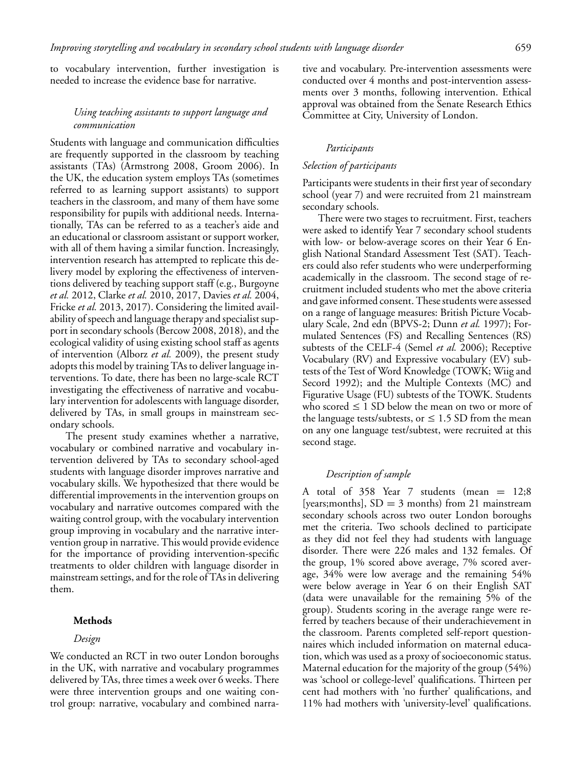to vocabulary intervention, further investigation is needed to increase the evidence base for narrative.

### *Using teaching assistants to support language and communication*

Students with language and communication difficulties are frequently supported in the classroom by teaching assistants (TAs) (Armstrong 2008, Groom 2006). In the UK, the education system employs TAs (sometimes referred to as learning support assistants) to support teachers in the classroom, and many of them have some responsibility for pupils with additional needs. Internationally, TAs can be referred to as a teacher's aide and an educational or classroom assistant or support worker, with all of them having a similar function. Increasingly, intervention research has attempted to replicate this delivery model by exploring the effectiveness of interventions delivered by teaching support staff (e.g., Burgoyne *et al.* 2012, Clarke *et al.* 2010, 2017, Davies *et al.* 2004, Fricke *et al.* 2013, 2017). Considering the limited availability of speech and language therapy and specialist support in secondary schools (Bercow 2008, 2018), and the ecological validity of using existing school staff as agents of intervention (Alborz *et al.* 2009), the present study adopts this model by training TAs to deliver language interventions. To date, there has been no large-scale RCT investigating the effectiveness of narrative and vocabulary intervention for adolescents with language disorder, delivered by TAs, in small groups in mainstream secondary schools.

The present study examines whether a narrative, vocabulary or combined narrative and vocabulary intervention delivered by TAs to secondary school-aged students with language disorder improves narrative and vocabulary skills. We hypothesized that there would be differential improvements in the intervention groups on vocabulary and narrative outcomes compared with the waiting control group, with the vocabulary intervention group improving in vocabulary and the narrative intervention group in narrative. This would provide evidence for the importance of providing intervention-specific treatments to older children with language disorder in mainstream settings, and for the role of TAs in delivering them.

### **Methods**

### *Design*

We conducted an RCT in two outer London boroughs in the UK, with narrative and vocabulary programmes delivered by TAs, three times a week over 6 weeks. There were three intervention groups and one waiting control group: narrative, vocabulary and combined narrative and vocabulary. Pre-intervention assessments were conducted over 4 months and post-intervention assessments over 3 months, following intervention. Ethical approval was obtained from the Senate Research Ethics Committee at City, University of London.

### *Participants*

#### *Selection of participants*

Participants were students in their first year of secondary school (year 7) and were recruited from 21 mainstream secondary schools.

There were two stages to recruitment. First, teachers were asked to identify Year 7 secondary school students with low- or below-average scores on their Year 6 English National Standard Assessment Test (SAT). Teachers could also refer students who were underperforming academically in the classroom. The second stage of recruitment included students who met the above criteria and gave informed consent. These students were assessed on a range of language measures: British Picture Vocabulary Scale, 2nd edn (BPVS-2; Dunn *et al.* 1997); Formulated Sentences (FS) and Recalling Sentences (RS) subtests of the CELF-4 (Semel *et al.* 2006); Receptive Vocabulary (RV) and Expressive vocabulary (EV) subtests of the Test of Word Knowledge (TOWK; Wiig and Secord 1992); and the Multiple Contexts (MC) and Figurative Usage (FU) subtests of the TOWK. Students who scored  $\leq 1$  SD below the mean on two or more of the language tests/subtests, or  $\leq 1.5$  SD from the mean on any one language test/subtest, were recruited at this second stage.

### *Description of sample*

A total of 358 Year 7 students (mean = 12;8 [years; months],  $SD = 3$  months) from 21 mainstream secondary schools across two outer London boroughs met the criteria. Two schools declined to participate as they did not feel they had students with language disorder. There were 226 males and 132 females. Of the group, 1% scored above average, 7% scored average, 34% were low average and the remaining 54% were below average in Year 6 on their English SAT (data were unavailable for the remaining 5% of the group). Students scoring in the average range were referred by teachers because of their underachievement in the classroom. Parents completed self-report questionnaires which included information on maternal education, which was used as a proxy of socioeconomic status. Maternal education for the majority of the group (54%) was 'school or college-level' qualifications. Thirteen per cent had mothers with 'no further' qualifications, and 11% had mothers with 'university-level' qualifications.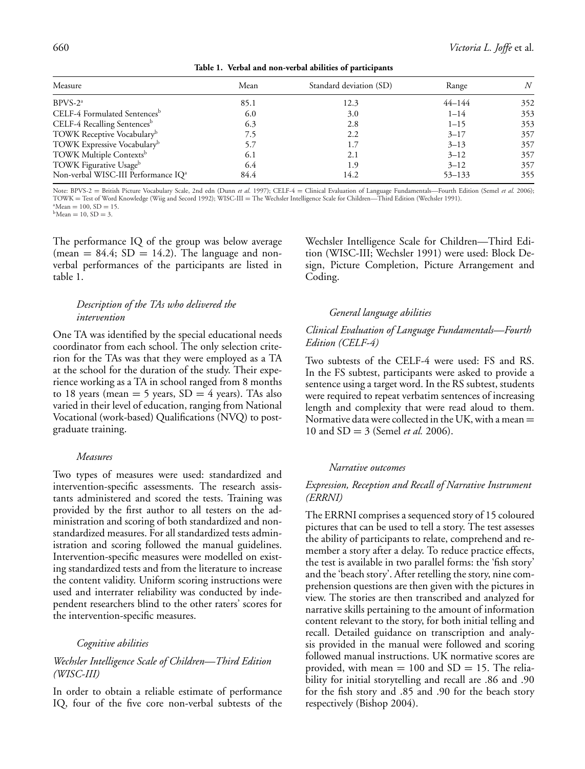**Table 1. Verbal and non-verbal abilities of participants**

| Measure                                         | Mean | Standard deviation (SD) | Range      | N   |
|-------------------------------------------------|------|-------------------------|------------|-----|
| $BPVS-2^a$                                      | 85.1 | 12.3                    | $44 - 144$ | 352 |
| CELF-4 Formulated Sentences <sup>b</sup>        | 6.0  | 3.0                     | $1 - 14$   | 353 |
| CELF-4 Recalling Sentences <sup>b</sup>         | 6.3  | 2.8                     | $1 - 15$   | 353 |
| TOWK Receptive Vocabulary <sup>b</sup>          | 7.5  | 2.2                     | $3 - 17$   | 357 |
| TOWK Expressive Vocabulary <sup>b</sup>         | 5.7  | 1.7                     | $3 - 13$   | 357 |
| TOWK Multiple Contexts <sup>b</sup>             | 6.1  | 2.1                     | $3 - 12$   | 357 |
| TOWK Figurative Usage <sup>b</sup>              | 6.4  | 1.9                     | $3 - 12$   | 357 |
| Non-verbal WISC-III Performance IQ <sup>a</sup> | 84.4 | 14.2                    | $53 - 133$ | 355 |
|                                                 |      |                         |            |     |

Note: BPVS-2 = British Picture Vocabulary Scale, 2nd edn (Dunn *et al*. 1997); CELF-4 = Clinical Evaluation of Language Fundamentals—Fourth Edition (Semel *et al.* 2006);<br>TOWK = Test of Word Knowledge (Wiig and Secord 1992  $^{a}$ Mean = 100, SD = 15.<br>  $^{b}$ Mean = 10, SD = 3.

The performance IQ of the group was below average (mean  $= 84.4$ ; SD  $= 14.2$ ). The language and nonverbal performances of the participants are listed in table 1.

### *Description of the TAs who delivered the intervention*

One TA was identified by the special educational needs coordinator from each school. The only selection criterion for the TAs was that they were employed as a TA at the school for the duration of the study. Their experience working as a TA in school ranged from 8 months to 18 years (mean  $=$  5 years, SD  $=$  4 years). TAs also varied in their level of education, ranging from National Vocational (work-based) Qualifications (NVQ) to postgraduate training.

### *Measures*

Two types of measures were used: standardized and intervention-specific assessments. The research assistants administered and scored the tests. Training was provided by the first author to all testers on the administration and scoring of both standardized and nonstandardized measures. For all standardized tests administration and scoring followed the manual guidelines. Intervention-specific measures were modelled on existing standardized tests and from the literature to increase the content validity. Uniform scoring instructions were used and interrater reliability was conducted by independent researchers blind to the other raters' scores for the intervention-specific measures.

### *Cognitive abilities*

## *Wechsler Intelligence Scale of Children—Third Edition (WISC-III)*

In order to obtain a reliable estimate of performance IQ, four of the five core non-verbal subtests of the Wechsler Intelligence Scale for Children—Third Edition (WISC-III; Wechsler 1991) were used: Block Design, Picture Completion, Picture Arrangement and Coding.

### *General language abilities*

### *Clinical Evaluation of Language Fundamentals—Fourth Edition (CELF-4)*

Two subtests of the CELF-4 were used: FS and RS. In the FS subtest, participants were asked to provide a sentence using a target word. In the RS subtest, students were required to repeat verbatim sentences of increasing length and complexity that were read aloud to them. Normative data were collected in the UK, with a mean  $=$ 10 and SD = 3 (Semel *et al.* 2006).

### *Narrative outcomes*

### *Expression, Reception and Recall of Narrative Instrument (ERRNI)*

The ERRNI comprises a sequenced story of 15 coloured pictures that can be used to tell a story. The test assesses the ability of participants to relate, comprehend and remember a story after a delay. To reduce practice effects, the test is available in two parallel forms: the 'fish story' and the 'beach story'. After retelling the story, nine comprehension questions are then given with the pictures in view. The stories are then transcribed and analyzed for narrative skills pertaining to the amount of information content relevant to the story, for both initial telling and recall. Detailed guidance on transcription and analysis provided in the manual were followed and scoring followed manual instructions. UK normative scores are provided, with mean  $= 100$  and  $SD = 15$ . The reliability for initial storytelling and recall are .86 and .90 for the fish story and .85 and .90 for the beach story respectively (Bishop 2004).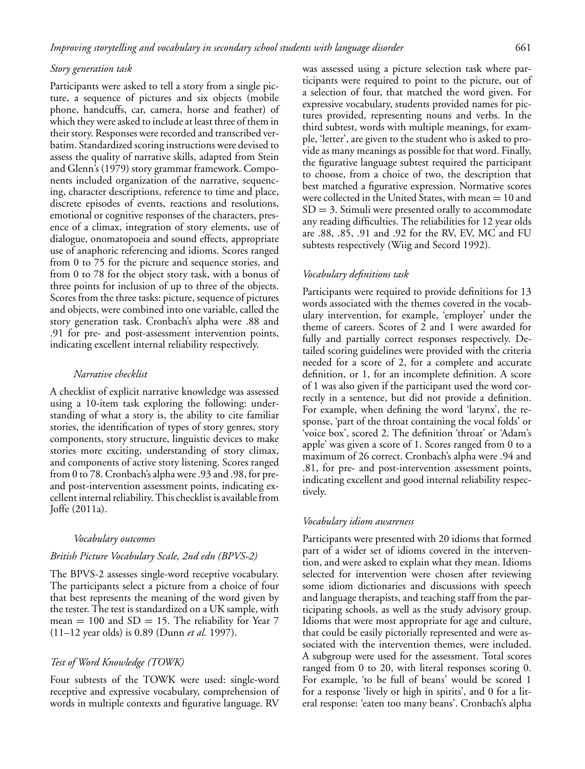### *Story generation task*

Participants were asked to tell a story from a single picture, a sequence of pictures and six objects (mobile phone, handcuffs, car, camera, horse and feather) of which they were asked to include at least three of them in their story. Responses were recorded and transcribed verbatim. Standardized scoring instructions were devised to assess the quality of narrative skills, adapted from Stein and Glenn's (1979) story grammar framework. Components included organization of the narrative, sequencing, character descriptions, reference to time and place, discrete episodes of events, reactions and resolutions, emotional or cognitive responses of the characters, presence of a climax, integration of story elements, use of dialogue, onomatopoeia and sound effects, appropriate use of anaphoric referencing and idioms. Scores ranged from 0 to 75 for the picture and sequence stories, and from 0 to 78 for the object story task, with a bonus of three points for inclusion of up to three of the objects. Scores from the three tasks: picture, sequence of pictures and objects, were combined into one variable, called the story generation task. Cronbach's alpha were .88 and .91 for pre- and post-assessment intervention points, indicating excellent internal reliability respectively.

### *Narrative checklist*

A checklist of explicit narrative knowledge was assessed using a 10-item task exploring the following: understanding of what a story is, the ability to cite familiar stories, the identification of types of story genres, story components, story structure, linguistic devices to make stories more exciting, understanding of story climax, and components of active story listening. Scores ranged from 0 to 78. Cronbach's alpha were .93 and .98, for preand post-intervention assessment points, indicating excellent internal reliability. This checklist is available from Joffe (2011a).

#### *Vocabulary outcomes*

#### *British Picture Vocabulary Scale, 2nd edn (BPVS-2)*

The BPVS-2 assesses single-word receptive vocabulary. The participants select a picture from a choice of four that best represents the meaning of the word given by the tester. The test is standardized on a UK sample, with mean  $= 100$  and  $SD = 15$ . The reliability for Year 7 (11–12 year olds) is 0.89 (Dunn *et al.* 1997).

### *Test of Word Knowledge (TOWK)*

Four subtests of the TOWK were used: single-word receptive and expressive vocabulary, comprehension of words in multiple contexts and figurative language. RV was assessed using a picture selection task where participants were required to point to the picture, out of a selection of four, that matched the word given. For expressive vocabulary, students provided names for pictures provided, representing nouns and verbs. In the third subtest, words with multiple meanings, for example, 'letter', are given to the student who is asked to provide as many meanings as possible for that word. Finally, the figurative language subtest required the participant to choose, from a choice of two, the description that best matched a figurative expression. Normative scores were collected in the United States, with mean = 10 and  $SD = 3$ . Stimuli were presented orally to accommodate any reading difficulties. The reliabilities for 12 year olds are .88, .85, .91 and .92 for the RV, EV, MC and FU subtests respectively (Wiig and Secord 1992).

### *Vocabulary definitions task*

Participants were required to provide definitions for 13 words associated with the themes covered in the vocabulary intervention, for example, 'employer' under the theme of careers. Scores of 2 and 1 were awarded for fully and partially correct responses respectively. Detailed scoring guidelines were provided with the criteria needed for a score of 2, for a complete and accurate definition, or 1, for an incomplete definition. A score of 1 was also given if the participant used the word correctly in a sentence, but did not provide a definition. For example, when defining the word 'larynx', the response, 'part of the throat containing the vocal folds' or 'voice box', scored 2. The definition 'throat' or 'Adam's apple' was given a score of 1. Scores ranged from 0 to a maximum of 26 correct. Cronbach's alpha were .94 and .81, for pre- and post-intervention assessment points, indicating excellent and good internal reliability respectively.

### *Vocabulary idiom awareness*

Participants were presented with 20 idioms that formed part of a wider set of idioms covered in the intervention, and were asked to explain what they mean. Idioms selected for intervention were chosen after reviewing some idiom dictionaries and discussions with speech and language therapists, and teaching staff from the participating schools, as well as the study advisory group. Idioms that were most appropriate for age and culture, that could be easily pictorially represented and were associated with the intervention themes, were included. A subgroup were used for the assessment. Total scores ranged from 0 to 20, with literal responses scoring 0. For example, 'to be full of beans' would be scored 1 for a response 'lively or high in spirits', and 0 for a literal response: 'eaten too many beans'. Cronbach's alpha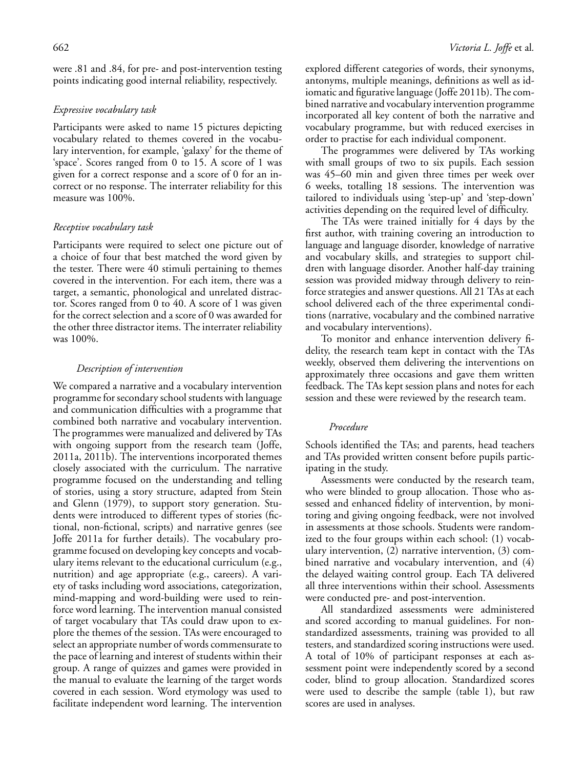were .81 and .84, for pre- and post-intervention testing points indicating good internal reliability, respectively.

### *Expressive vocabulary task*

Participants were asked to name 15 pictures depicting vocabulary related to themes covered in the vocabulary intervention, for example, 'galaxy' for the theme of 'space'. Scores ranged from 0 to 15. A score of 1 was given for a correct response and a score of 0 for an incorrect or no response. The interrater reliability for this measure was 100%.

### *Receptive vocabulary task*

Participants were required to select one picture out of a choice of four that best matched the word given by the tester. There were 40 stimuli pertaining to themes covered in the intervention. For each item, there was a target, a semantic, phonological and unrelated distractor. Scores ranged from 0 to 40. A score of 1 was given for the correct selection and a score of 0 was awarded for the other three distractor items. The interrater reliability was 100%.

### *Description of intervention*

We compared a narrative and a vocabulary intervention programme for secondary school students with language and communication difficulties with a programme that combined both narrative and vocabulary intervention. The programmes were manualized and delivered by TAs with ongoing support from the research team (Joffe, 2011a, 2011b). The interventions incorporated themes closely associated with the curriculum. The narrative programme focused on the understanding and telling of stories, using a story structure, adapted from Stein and Glenn (1979), to support story generation. Students were introduced to different types of stories (fictional, non-fictional, scripts) and narrative genres (see Joffe 2011a for further details). The vocabulary programme focused on developing key concepts and vocabulary items relevant to the educational curriculum (e.g., nutrition) and age appropriate (e.g., careers). A variety of tasks including word associations, categorization, mind-mapping and word-building were used to reinforce word learning. The intervention manual consisted of target vocabulary that TAs could draw upon to explore the themes of the session. TAs were encouraged to select an appropriate number of words commensurate to the pace of learning and interest of students within their group. A range of quizzes and games were provided in the manual to evaluate the learning of the target words covered in each session. Word etymology was used to facilitate independent word learning. The intervention explored different categories of words, their synonyms, antonyms, multiple meanings, definitions as well as idiomatic and figurative language (Joffe 2011b). The combined narrative and vocabulary intervention programme incorporated all key content of both the narrative and vocabulary programme, but with reduced exercises in order to practise for each individual component.

The programmes were delivered by TAs working with small groups of two to six pupils. Each session was 45–60 min and given three times per week over 6 weeks, totalling 18 sessions. The intervention was tailored to individuals using 'step-up' and 'step-down' activities depending on the required level of difficulty.

The TAs were trained initially for 4 days by the first author, with training covering an introduction to language and language disorder, knowledge of narrative and vocabulary skills, and strategies to support children with language disorder. Another half-day training session was provided midway through delivery to reinforce strategies and answer questions. All 21 TAs at each school delivered each of the three experimental conditions (narrative, vocabulary and the combined narrative and vocabulary interventions).

To monitor and enhance intervention delivery fidelity, the research team kept in contact with the TAs weekly, observed them delivering the interventions on approximately three occasions and gave them written feedback. The TAs kept session plans and notes for each session and these were reviewed by the research team.

### *Procedure*

Schools identified the TAs; and parents, head teachers and TAs provided written consent before pupils participating in the study.

Assessments were conducted by the research team, who were blinded to group allocation. Those who assessed and enhanced fidelity of intervention, by monitoring and giving ongoing feedback, were not involved in assessments at those schools. Students were randomized to the four groups within each school: (1) vocabulary intervention, (2) narrative intervention, (3) combined narrative and vocabulary intervention, and (4) the delayed waiting control group. Each TA delivered all three interventions within their school. Assessments were conducted pre- and post-intervention.

All standardized assessments were administered and scored according to manual guidelines. For nonstandardized assessments, training was provided to all testers, and standardized scoring instructions were used. A total of 10% of participant responses at each assessment point were independently scored by a second coder, blind to group allocation. Standardized scores were used to describe the sample (table 1), but raw scores are used in analyses.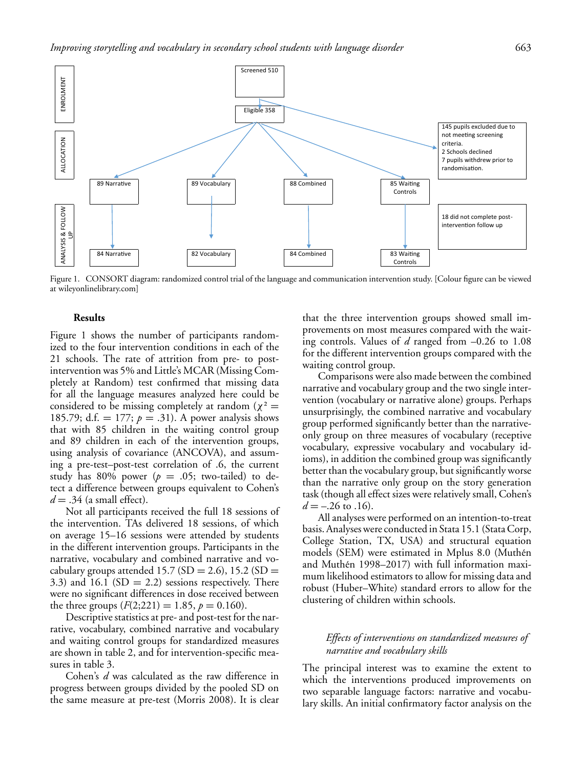

Figure 1. CONSORT diagram: randomized control trial of the language and communication intervention study. [Colour figure can be viewed at wileyonlinelibrary.com]

#### **Results**

Figure 1 shows the number of participants randomized to the four intervention conditions in each of the 21 schools. The rate of attrition from pre- to postintervention was 5% and Little's MCAR (Missing Completely at Random) test confirmed that missing data for all the language measures analyzed here could be considered to be missing completely at random ( $\chi^2$  = 185.79; d.f. = 177;  $p = .31$ ). A power analysis shows that with 85 children in the waiting control group and 89 children in each of the intervention groups, using analysis of covariance (ANCOVA), and assuming a pre-test–post-test correlation of .6, the current study has 80% power ( $p = .05$ ; two-tailed) to detect a difference between groups equivalent to Cohen's  $d = .34$  (a small effect).

Not all participants received the full 18 sessions of the intervention. TAs delivered 18 sessions, of which on average 15–16 sessions were attended by students in the different intervention groups. Participants in the narrative, vocabulary and combined narrative and vocabulary groups attended 15.7 (SD = 2.6), 15.2 (SD = 3.3) and 16.1 ( $SD = 2.2$ ) sessions respectively. There were no significant differences in dose received between the three groups  $(F(2,221) = 1.85, p = 0.160)$ .

Descriptive statistics at pre- and post-test for the narrative, vocabulary, combined narrative and vocabulary and waiting control groups for standardized measures are shown in table 2, and for intervention-specific measures in table 3.

Cohen's *d* was calculated as the raw difference in progress between groups divided by the pooled SD on the same measure at pre-test (Morris 2008). It is clear that the three intervention groups showed small improvements on most measures compared with the waiting controls. Values of *d* ranged from –0.26 to 1.08 for the different intervention groups compared with the waiting control group.

Comparisons were also made between the combined narrative and vocabulary group and the two single intervention (vocabulary or narrative alone) groups. Perhaps unsurprisingly, the combined narrative and vocabulary group performed significantly better than the narrativeonly group on three measures of vocabulary (receptive vocabulary, expressive vocabulary and vocabulary idioms), in addition the combined group was significantly better than the vocabulary group, but significantly worse than the narrative only group on the story generation task (though all effect sizes were relatively small, Cohen's  $d = -.26$  to .16).

All analyses were performed on an intention-to-treat basis. Analyses were conducted in Stata 15.1 (Stata Corp, College Station, TX, USA) and structural equation models (SEM) were estimated in Mplus 8.0 (Muthen´ and Muthén 1998–2017) with full information maximum likelihood estimators to allow for missing data and robust (Huber–White) standard errors to allow for the clustering of children within schools.

### *Effects of interventions on standardized measures of narrative and vocabulary skills*

The principal interest was to examine the extent to which the interventions produced improvements on two separable language factors: narrative and vocabulary skills. An initial confirmatory factor analysis on the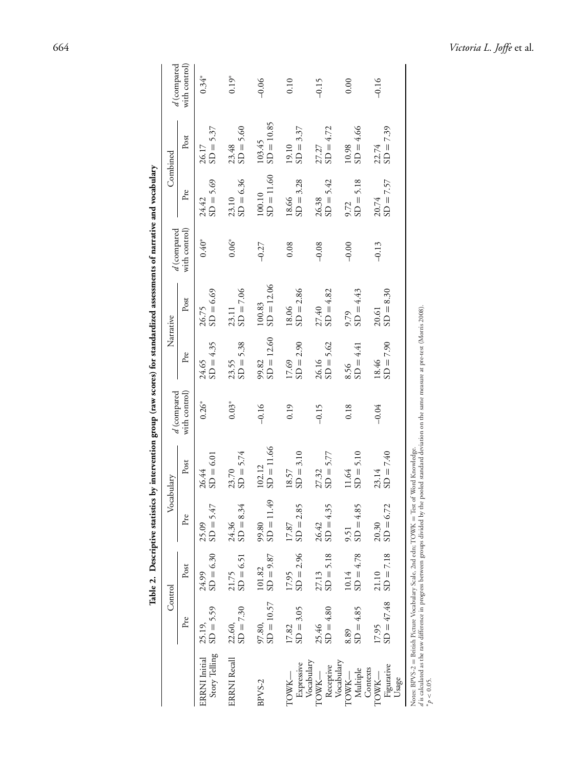|                                       |                        |                       |                       | Table 2. Descriptive statistics by intervention group (raw scores) for standardized assessments of narrative and vocabulary |               |                       |                        |               |                        |                        |               |
|---------------------------------------|------------------------|-----------------------|-----------------------|-----------------------------------------------------------------------------------------------------------------------------|---------------|-----------------------|------------------------|---------------|------------------------|------------------------|---------------|
|                                       | Control                |                       |                       | Vocabulary                                                                                                                  | d (compared   |                       | Narrative              | d (compared   |                        | Combined               | d (compared   |
|                                       | Pre                    | Post                  | $Pr$ e                | Post                                                                                                                        | with control) | Pre                   | Post                   | with control) | $Pr$ e                 | Post                   | with control) |
| Story Telling<br><b>ERRNI</b> Initial | $SD = 5.59$<br>25.19,  | $SD = 6.30$<br>24.99  | $SD = 5.47$<br>25.09  | $SD = 6.01$<br>26.44                                                                                                        | $0.26*$       | $SD = 4.35$<br>24.65  | $SD = 6.69$<br>26.75   | $0.40*$       | $SD = 5.69$<br>24.42   | $SD = 5.37$<br>26.17   | $0.34*$       |
| ERRNI Recall                          | $SD = 7.30$<br>22.60,  | $SD = 6.51$<br>21.75  | $SD = 8.34$<br>24.36  | $SD = 5.74$<br>23.70                                                                                                        | $0.03*$       | $SD = 5.38$<br>23.55  | $SD = 7.06$<br>23.11   | $0.06*$       | $SD = 6.36$<br>23.10   | $SD = 5.60$<br>23.48   | $0.19*$       |
| BPVS-2                                | $SD = 10.57$<br>97.80, | $SD = 9.87$<br>101.82 | $SD = 11.49$<br>99.80 | $SD = 11.66$<br>102.12                                                                                                      | $-0.16$       | $SD = 12.60$<br>99.82 | $SD = 12.06$<br>100.83 | $-0.27$       | $SD = 11.60$<br>100.10 | $SD = 10.85$<br>103.45 | $-0.06$       |
| Expressive<br>TOWK-                   | $SD = 3.05$<br>17.82   | $SD = 2.96$<br>17.95  | $SD = 2.85$<br>17.87  | $SD = 3.10$<br>18.57                                                                                                        | 0.19          | $SD = 2.90$<br>17.69  | $SD = 2.86$<br>18.06   | 0.08          | $SD = 3.28$<br>18.66   | $SD = 3.37$<br>19.10   | 0.10          |
| Vocabulary<br>Receptive<br>TOWK—      | $SD = 4.80$<br>25.46   | $SD = 5.18$<br>27.13  | $SD = 4.35$<br>26.42  | $SD = 5.77$<br>27.32                                                                                                        | $-0.15$       | $SD = 5.62$<br>26.16  | $SD = 4.82$<br>27.40   | $-0.08$       | $SD = 5.42$<br>26.38   | $SD = 4.72$<br>27.27   | $-0.15$       |
| Vocabulary<br>Multiple<br>TOWK—       | $SD = 4.85$<br>8.89    | $SD = 4.78$<br>10.14  | $SD = 4.85$<br>9.51   | $SD = 5.10$<br>11.64                                                                                                        | 0.18          | $SD = 4.41$<br>8.56   | $SD = 4.43$<br>9.79    | $-0.00$       | $SD = 5.18$<br>9.72    | $SD = 4.66$<br>10.98   | 0.00          |
| Figurative<br>Contexts<br>TOWK-       | $SD = 47.48$<br>17.95  | $SD = 7.18$<br>21.10  | $SD = 6.72$<br>20.30  | $SD = 7.40$<br>23.14                                                                                                        | $-0.04$       | $SD = 7.90$<br>18.46  | $SD = 8.30$<br>20.61   | $-0.13$       | $SD = 7.57$<br>20.74   | $SD = 7.39$<br>22.74   | $-0.16$       |
| Usage                                 | $\frac{1}{2}$          |                       | $\frac{1}{2}$         | $TNT - 1T - 1$                                                                                                              |               |                       |                        |               |                        |                        |               |

| .<br>.<br>.       |
|-------------------|
|                   |
|                   |
|                   |
| Ì                 |
|                   |
|                   |
|                   |
|                   |
|                   |
|                   |
|                   |
|                   |
| í                 |
|                   |
|                   |
|                   |
|                   |
|                   |
|                   |
|                   |
| -----             |
|                   |
|                   |
|                   |
|                   |
|                   |
|                   |
|                   |
|                   |
|                   |
|                   |
|                   |
| i<br>İ            |
| Ì                 |
| A AMATH<br>Ĵ<br>I |
| F                 |
|                   |

Notes: BPVS-2 = British Picture Vocabulary Scale, 2nd edn; TOWK = Test of Word Knowledge. is calculated as the raw difference in progress between groups divided by the pooled standard deviation on the same measure at pre-test (Morris 2008).

*d*∗*p* < 0.05.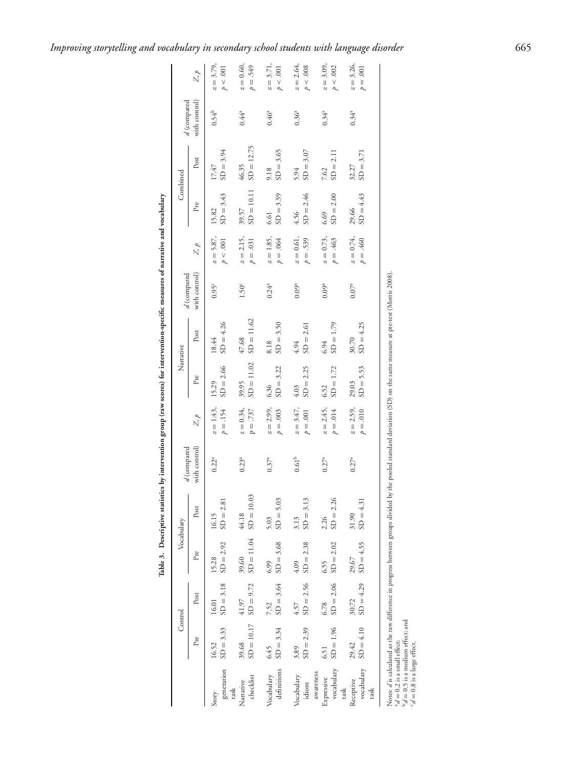|                                                                        |                                              | Control              |                       | $\overline{\phantom{a}}$<br>Vocabulary                                                                                                                                     | d (compared   |                            | Narrative             |                       | d (compared       |                            |                       | Combined                 | d (compared   |                            |
|------------------------------------------------------------------------|----------------------------------------------|----------------------|-----------------------|----------------------------------------------------------------------------------------------------------------------------------------------------------------------------|---------------|----------------------------|-----------------------|-----------------------|-------------------|----------------------------|-----------------------|--------------------------|---------------|----------------------------|
|                                                                        | Pre                                          | Post                 | Pre                   | Post                                                                                                                                                                       | with control) | Z, p                       | Pre                   | Post                  | with control)     | $Z$ , $p$                  | Pre                   | Post                     | with control) | Z, p                       |
| generation<br>Story                                                    | $SD = 3.33$<br>16.52                         | $SD = 3.18$<br>16.01 | $SD = 2.92$<br>15.28  | $SD = 2.81$<br>16.15                                                                                                                                                       | $0.22^{a}$    | $z = 1.43$ ,<br>$p = .154$ | $SD = 2.66$<br>15.29  | $SD = 4.26$<br>18.44  | $0.95^{\circ}$    | $z = 5.87$ ,<br>$p < .001$ | $SD = 3.43$<br>15.82  | $SD = 3.94$<br>17.47     | $0.54^{b}$    | $z = 3.79$<br>$p < .001$   |
| checklist<br>Narrative<br>task                                         | $SD = 10.17$<br>39.68                        | $SD = 9.72$<br>41.97 | $SD = 11.04$<br>39.60 | $SD = 10.03$<br>44.18                                                                                                                                                      | $0.23^{a}$    | $p = .737$<br>$z = 0.34,$  | $SD = 11.02$<br>39.95 | $SD = 11.62$<br>47.68 | 1.50 <sup>c</sup> | $z = 2.15$ ,<br>$p = .031$ | $SD = 10.11$<br>39.57 | $SD = 12.75$<br>46.35    | $0.44^{a}$    | $z = 0.60$<br>$p = .549$   |
| definitions<br>Vocabulary                                              | $SD = 3.34$<br>6.45                          | $SD = 3.64$<br>7.52  | $SD = 3.68$<br>6.99   | $SD = 5.03$<br>5.03                                                                                                                                                        | $0.37^{a}$    | $p = .003$<br>$z = 2.99$   | $SD = 3.22$<br>6.36   | $SD = 3.50$<br>8.18   | $0.24^{a}$        | $z = 1.85$<br>$p = .064$   | $SD = 3.59$<br>6.61   | $SD = 3.65$<br>9.18      | $0.46^{a}$    | $z = 3.71,$<br>$p < .001$  |
| Vocabulary<br>idiom                                                    | $SD = 2.39$<br>3.89                          | $SD = 2.56$<br>4.57  | $SD = 2.38$<br>4.09   | $SD = 3.13$<br>3.13                                                                                                                                                        | $0.61^{b}$    | $z = 3.47$ ,<br>$p = .001$ | $SD = 2.25$<br>4.03   | $SD = 2.61$<br>4.94   | $0.09^{a}$        | $z = 0.61,$<br>$p = .539$  | $SD = 2.46$<br>4.56   | $SD = 3.07$<br>5.94      | $0.36^{a}$    | $z = 2.64,$<br>$p < .008$  |
| vocabulary<br>awareness<br>Expressive                                  | $SD = 1.96$<br>6.51                          | $SD = 2.06$<br>6.78  | $SD = 2.02$<br>6.55   | $SD = 2.26$<br>2.26                                                                                                                                                        | $0.27^{a}$    | $z = 2.45$ ,<br>$p = .014$ | $SD = 1.72$<br>6.52   | $SD = 1.79$<br>6.94   | $0.09^{a}$        | $z = 0.73$<br>$p = .463$   | $SD = 2.00$<br>6.69   | 2.11<br>$SD = 1$<br>7.62 | $0.34^{a}$    | $z = 3.09,$<br>$p < .002$  |
| vocabulary<br>Receptive<br>task<br>task                                | $SD = 4.10$<br>29.42                         | $SD = 4.29$<br>30.72 | $SD = 4.55$<br>29.67  | $SD = 4.31$<br>31.90                                                                                                                                                       | $0.27^{a}$    | $z = 2.59$ ,<br>$p = .010$ | $SD = 5.53$<br>29.03  | $SD = 4.25$<br>30.70  | $0.07^{a}$        | $z = 0.74$<br>$p = .460$   | $SD = 4.43$<br>29.66  | $SD = 3.71$<br>32.27     | $0.34^{a}$    | $z = 3.26$ ,<br>$p = .001$ |
| $^{a}d = 0.2$ is a small effect;<br>$^{\rm c}d=0.8$ is a large effect. | $\mathbb{I}_d = 0.5$ is a medium effect; and |                      |                       | Notes: <i>d</i> is calculated as the raw difference in progress between groups divided by the pooled standard deviation (SD) on the same measure at pre-test (Morris 2008) |               |                            |                       |                       |                   |                            |                       |                          |               |                            |

Table 3. Descriptive statistics by intervention group (raw scores) for intervention-specific measures of narrative and vocabulary

Table 3. Descriptive statistics by intervention group (raw scores) for intervention-specific measures of narrative and vocabulary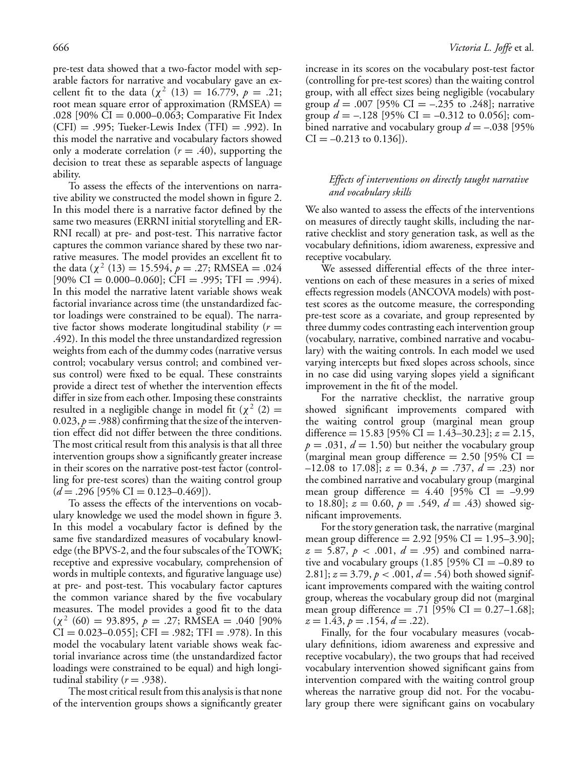pre-test data showed that a two-factor model with separable factors for narrative and vocabulary gave an excellent fit to the data ( $\chi^2$  (13) = 16.779,  $p = .21$ ; root mean square error of approximation  $(RMSEA)$  = .028 [90% CI = 0.000–0.063; Comparative Fit Index  $(CFI) = .995$ ; Tueker-Lewis Index (TFI) = .992). In this model the narrative and vocabulary factors showed only a moderate correlation  $(r = .40)$ , supporting the decision to treat these as separable aspects of language ability.

To assess the effects of the interventions on narrative ability we constructed the model shown in figure 2. In this model there is a narrative factor defined by the same two measures (ERRNI initial storytelling and ER-RNI recall) at pre- and post-test. This narrative factor captures the common variance shared by these two narrative measures. The model provides an excellent fit to the data  $(\chi^2 (13) = 15.594, p = .27; RMSEA = .024)$ [90% CI =  $0.000-0.060$ ]; CFI = .995; TFI = .994). In this model the narrative latent variable shows weak factorial invariance across time (the unstandardized factor loadings were constrained to be equal). The narrative factor shows moderate longitudinal stability  $(r =$ .492). In this model the three unstandardized regression weights from each of the dummy codes (narrative versus control; vocabulary versus control; and combined versus control) were fixed to be equal. These constraints provide a direct test of whether the intervention effects differ in size from each other. Imposing these constraints resulted in a negligible change in model fit ( $\chi^2$  (2) = 0.023,  $p = .988$ ) confirming that the size of the intervention effect did not differ between the three conditions. The most critical result from this analysis is that all three intervention groups show a significantly greater increase in their scores on the narrative post-test factor (controlling for pre-test scores) than the waiting control group  $(d = .296 [95\% \text{ CI} = 0.123 - 0.469]).$ 

To assess the effects of the interventions on vocabulary knowledge we used the model shown in figure 3. In this model a vocabulary factor is defined by the same five standardized measures of vocabulary knowledge (the BPVS-2, and the four subscales of the TOWK; receptive and expressive vocabulary, comprehension of words in multiple contexts, and figurative language use) at pre- and post-test. This vocabulary factor captures the common variance shared by the five vocabulary measures. The model provides a good fit to the data  $(\chi^2 (60) = 93.895, p = .27; RMSEA = .040 [90\%$  $CI = 0.023-0.055$ ; CFI = .982; TFI = .978). In this model the vocabulary latent variable shows weak factorial invariance across time (the unstandardized factor loadings were constrained to be equal) and high longitudinal stability  $(r = .938)$ .

The most critical result from this analysis is that none of the intervention groups shows a significantly greater increase in its scores on the vocabulary post-test factor (controlling for pre-test scores) than the waiting control group, with all effect sizes being negligible (vocabulary group  $d = .007$  [95% CI =  $-.235$  to .248]; narrative group  $d = -.128$  [95% CI = -0.312 to 0.056]; combined narrative and vocabulary group  $d = -.038$  [95%]  $CI = -0.213$  to 0.136]).

### *Effects of interventions on directly taught narrative and vocabulary skills*

We also wanted to assess the effects of the interventions on measures of directly taught skills, including the narrative checklist and story generation task, as well as the vocabulary definitions, idiom awareness, expressive and receptive vocabulary.

We assessed differential effects of the three interventions on each of these measures in a series of mixed effects regression models (ANCOVA models) with posttest scores as the outcome measure, the corresponding pre-test score as a covariate, and group represented by three dummy codes contrasting each intervention group (vocabulary, narrative, combined narrative and vocabulary) with the waiting controls. In each model we used varying intercepts but fixed slopes across schools, since in no case did using varying slopes yield a significant improvement in the fit of the model.

For the narrative checklist, the narrative group showed significant improvements compared with the waiting control group (marginal mean group difference = 15.83 [95% CI = 1.43-30.23];  $z = 2.15$ ,  $p = .031, d = 1.50$  but neither the vocabulary group (marginal mean group difference  $= 2.50$  [95% CI  $=$  $-12.08$  to 17.08];  $z = 0.34$ ,  $p = .737$ ,  $d = .23$ ) nor the combined narrative and vocabulary group (marginal mean group difference =  $4.40$  [95% CI = -9.99 to 18.80];  $z = 0.60$ ,  $p = .549$ ,  $d = .43$ ) showed significant improvements.

For the story generation task, the narrative (marginal mean group difference =  $2.92$  [95% CI = 1.95–3.90];  $z = 5.87, p < .001, d = .95$  and combined narrative and vocabulary groups (1.85 [95% CI  $=$  -0.89 to 2.81];  $z = 3.79$ ,  $p < .001$ ,  $d = .54$ ) both showed significant improvements compared with the waiting control group, whereas the vocabulary group did not (marginal mean group difference = .71 [95% CI =  $0.27-1.68$ ];  $z = 1.43, p = .154, d = .22$ .

Finally, for the four vocabulary measures (vocabulary definitions, idiom awareness and expressive and receptive vocabulary), the two groups that had received vocabulary intervention showed significant gains from intervention compared with the waiting control group whereas the narrative group did not. For the vocabulary group there were significant gains on vocabulary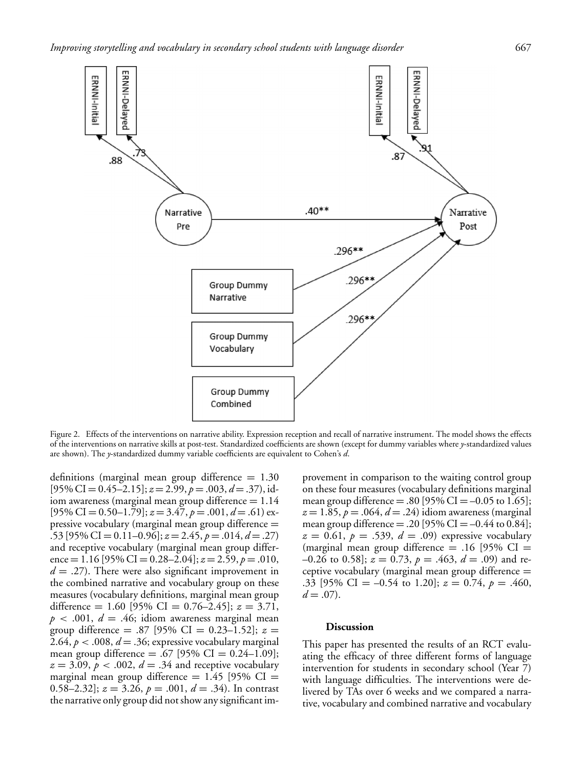

Figure 2. Effects of the interventions on narrative ability. Expression reception and recall of narrative instrument. The model shows the effects of the interventions on narrative skills at post-test. Standardized coefficients are shown (except for dummy variables where *y*-standardized values are shown). The *y*-standardized dummy variable coefficients are equivalent to Cohen's *d*.

definitions (marginal mean group difference = 1.30  $[95\% \text{ CI} = 0.45 - 2.15]; z = 2.99, p = .003, d = .37),$  idiom awareness (marginal mean group difference  $= 1.14$ [95% CI = 0.50–1.79]; *z* = 3.47, *p* = .001, *d* = .61) expressive vocabulary (marginal mean group difference = .53 [95% CI = 0.11–0.96]; *z* = 2.45, *p* = .014, *d* = .27) and receptive vocabulary (marginal mean group difference = 1.16 [95% CI = 0.28–2.04];  $z = 2.59$ ,  $p = .010$ ,  $d = .27$ ). There were also significant improvement in the combined narrative and vocabulary group on these measures (vocabulary definitions, marginal mean group difference =  $1.60$  [95% CI =  $0.76-2.45$ ];  $z = 3.71$ ,  $p < .001$ ,  $d = .46$ ; idiom awareness marginal mean group difference = .87 [95% CI = 0.23–1.52]; *z* = 2.64,  $p < .008$ ,  $d = .36$ ; expressive vocabulary marginal mean group difference = .67 [95% CI =  $0.24-1.09$ ];  $z = 3.09$ ,  $p < .002$ ,  $d = .34$  and receptive vocabulary marginal mean group difference  $= 1.45$  [95% CI  $=$ 0.58–2.32];  $z = 3.26$ ,  $p = .001$ ,  $d = .34$ ). In contrast the narrative only group did not show any significant improvement in comparison to the waiting control group on these four measures (vocabulary definitions marginal mean group difference = .80 [95% CI =  $-0.05$  to 1.65];  $z = 1.85$ ,  $p = .064$ ,  $d = .24$ ) idiom awareness (marginal mean group difference  $= .20$  [95% CI  $= -0.44$  to 0.84];  $z = 0.61$ ,  $p = .539$ ,  $d = .09$ ) expressive vocabulary (marginal mean group difference  $= .16$  [95% CI  $=$  $-0.26$  to 0.58];  $z = 0.73$ ,  $p = .463$ ,  $d = .09$ ) and receptive vocabulary (marginal mean group difference = .33 [95% CI =  $-0.54$  to 1.20];  $z = 0.74$ ,  $p = .460$ ,  $d = .07$ ).

### **Discussion**

This paper has presented the results of an RCT evaluating the efficacy of three different forms of language intervention for students in secondary school (Year 7) with language difficulties. The interventions were delivered by TAs over 6 weeks and we compared a narrative, vocabulary and combined narrative and vocabulary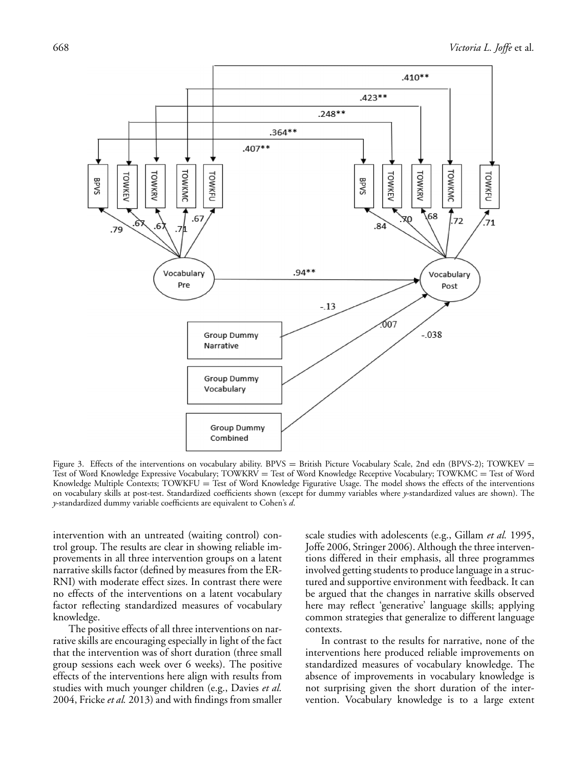

Figure 3. Effects of the interventions on vocabulary ability. BPVS = British Picture Vocabulary Scale, 2nd edn (BPVS-2); TOWKEV = Test of Word Knowledge Expressive Vocabulary; TOWKRV = Test of Word Knowledge Receptive Vocabulary; TOWKMC = Test of Word Knowledge Multiple Contexts; TOWKFU = Test of Word Knowledge Figurative Usage. The model shows the effects of the interventions on vocabulary skills at post-test. Standardized coefficients shown (except for dummy variables where *y*-standardized values are shown). The *y*-standardized dummy variable coefficients are equivalent to Cohen's *d*.

intervention with an untreated (waiting control) control group. The results are clear in showing reliable improvements in all three intervention groups on a latent narrative skills factor (defined by measures from the ER-RNI) with moderate effect sizes. In contrast there were no effects of the interventions on a latent vocabulary factor reflecting standardized measures of vocabulary knowledge.

The positive effects of all three interventions on narrative skills are encouraging especially in light of the fact that the intervention was of short duration (three small group sessions each week over 6 weeks). The positive effects of the interventions here align with results from studies with much younger children (e.g., Davies *et al.* 2004, Fricke *et al.* 2013) and with findings from smaller

scale studies with adolescents (e.g., Gillam *et al.* 1995, Joffe 2006, Stringer 2006). Although the three interventions differed in their emphasis, all three programmes involved getting students to produce language in a structured and supportive environment with feedback. It can be argued that the changes in narrative skills observed here may reflect 'generative' language skills; applying common strategies that generalize to different language contexts.

In contrast to the results for narrative, none of the interventions here produced reliable improvements on standardized measures of vocabulary knowledge. The absence of improvements in vocabulary knowledge is not surprising given the short duration of the intervention. Vocabulary knowledge is to a large extent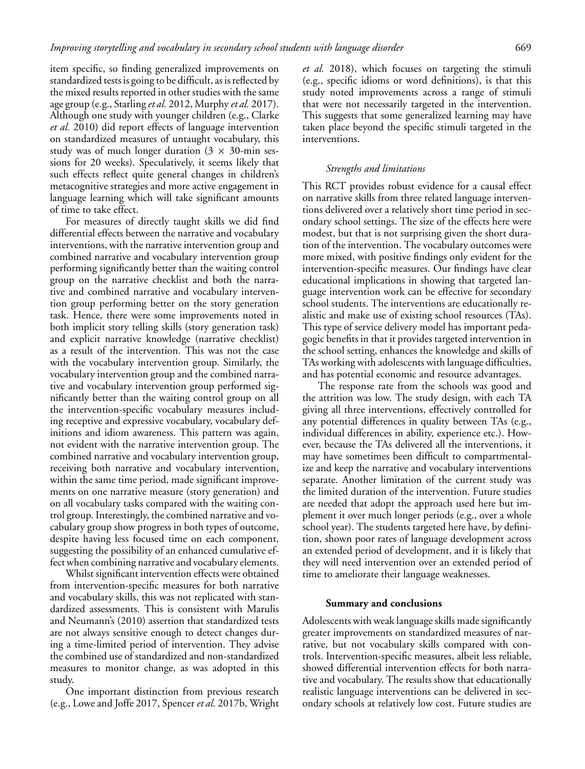item specific, so finding generalized improvements on standardized tests is going to be difficult, as is reflected by the mixed results reported in other studies with the same age group (e.g., Starling *et al.* 2012, Murphy *et al.* 2017). Although one study with younger children (e.g., Clarke *et al.* 2010) did report effects of language intervention on standardized measures of untaught vocabulary, this study was of much longer duration  $(3 \times 30)$ -min sessions for 20 weeks). Speculatively, it seems likely that such effects reflect quite general changes in children's metacognitive strategies and more active engagement in language learning which will take significant amounts of time to take effect.

For measures of directly taught skills we did find differential effects between the narrative and vocabulary interventions, with the narrative intervention group and combined narrative and vocabulary intervention group performing significantly better than the waiting control group on the narrative checklist and both the narrative and combined narrative and vocabulary intervention group performing better on the story generation task. Hence, there were some improvements noted in both implicit story telling skills (story generation task) and explicit narrative knowledge (narrative checklist) as a result of the intervention. This was not the case with the vocabulary intervention group. Similarly, the vocabulary intervention group and the combined narrative and vocabulary intervention group performed significantly better than the waiting control group on all the intervention-specific vocabulary measures including receptive and expressive vocabulary, vocabulary definitions and idiom awareness. This pattern was again, not evident with the narrative intervention group. The combined narrative and vocabulary intervention group, receiving both narrative and vocabulary intervention, within the same time period, made significant improvements on one narrative measure (story generation) and on all vocabulary tasks compared with the waiting control group. Interestingly, the combined narrative and vocabulary group show progress in both types of outcome, despite having less focused time on each component, suggesting the possibility of an enhanced cumulative effect when combining narrative and vocabulary elements.

Whilst significant intervention effects were obtained from intervention-specific measures for both narrative and vocabulary skills, this was not replicated with standardized assessments. This is consistent with Marulis and Neumann's (2010) assertion that standardized tests are not always sensitive enough to detect changes during a time-limited period of intervention. They advise the combined use of standardized and non-standardized measures to monitor change, as was adopted in this study.

One important distinction from previous research (e.g., Lowe and Joffe 2017, Spencer *et al.* 2017b, Wright *et al.* 2018), which focuses on targeting the stimuli (e.g., specific idioms or word definitions), is that this study noted improvements across a range of stimuli that were not necessarily targeted in the intervention. This suggests that some generalized learning may have taken place beyond the specific stimuli targeted in the interventions.

### *Strengths and limitations*

This RCT provides robust evidence for a causal effect on narrative skills from three related language interventions delivered over a relatively short time period in secondary school settings. The size of the effects here were modest, but that is not surprising given the short duration of the intervention. The vocabulary outcomes were more mixed, with positive findings only evident for the intervention-specific measures. Our findings have clear educational implications in showing that targeted language intervention work can be effective for secondary school students. The interventions are educationally realistic and make use of existing school resources (TAs). This type of service delivery model has important pedagogic benefits in that it provides targeted intervention in the school setting, enhances the knowledge and skills of TAs working with adolescents with language difficulties, and has potential economic and resource advantages.

The response rate from the schools was good and the attrition was low. The study design, with each TA giving all three interventions, effectively controlled for any potential differences in quality between TAs (e.g., individual differences in ability, experience etc.). However, because the TAs delivered all the interventions, it may have sometimes been difficult to compartmentalize and keep the narrative and vocabulary interventions separate. Another limitation of the current study was the limited duration of the intervention. Future studies are needed that adopt the approach used here but implement it over much longer periods (e.g., over a whole school year). The students targeted here have, by definition, shown poor rates of language development across an extended period of development, and it is likely that they will need intervention over an extended period of time to ameliorate their language weaknesses.

#### **Summary and conclusions**

Adolescents with weak language skills made significantly greater improvements on standardized measures of narrative, but not vocabulary skills compared with controls. Intervention-specific measures, albeit less reliable, showed differential intervention effects for both narrative and vocabulary. The results show that educationally realistic language interventions can be delivered in secondary schools at relatively low cost. Future studies are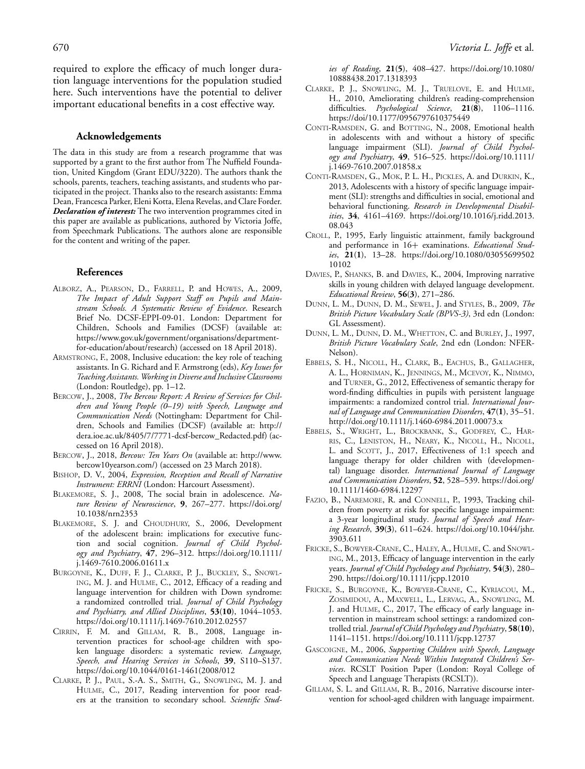required to explore the efficacy of much longer duration language interventions for the population studied here. Such interventions have the potential to deliver important educational benefits in a cost effective way.

#### **Acknowledgements**

The data in this study are from a research programme that was supported by a grant to the first author from The Nuffield Foundation, United Kingdom (Grant EDU/3220). The authors thank the schools, parents, teachers, teaching assistants, and students who participated in the project. Thanks also to the research assistants: Emma Dean, Francesca Parker, Eleni Kotta, Elena Revelas, and Clare Forder. *Declaration of interest:* The two intervention programmes cited in this paper are available as publications, authored by Victoria Joffe, from Speechmark Publications. The authors alone are responsible for the content and writing of the paper.

### **References**

- ALBORZ, A., PEARSON, D., FARRELL, P. and HOWES, A., 2009, *The Impact of Adult Support Staff on Pupils and Mainstream Schools. A Systematic Review of Evidence*. Research Brief No. DCSF-EPPI-09-01. London: Department for Children, Schools and Families (DCSF) (available at: [https://www.gov.uk/government/organisations/department](https://www.gov.uk/government/organisations/department-for-education/about/research))[for-education/about/research\)](https://www.gov.uk/government/organisations/department-for-education/about/research)) (accessed on 18 April 2018).
- ARMSTRONG, F., 2008, Inclusive education: the key role of teaching assistants. In G. Richard and F. Armstrong (eds), *Key Issues for Teaching Assistants. Working in Diverse and Inclusive Classrooms* (London: Routledge), pp. 1–12.
- BERCOW, J., 2008, *The Bercow Report: A Review of Services for Children and Young People (0–19) with Speech, Language and Communication Needs* (Nottingham: Department for Children, Schools and Families (DCSF) (available at: [http://](http://dera.ioe.ac.uk/8405/7/7771-dcsf-bercow_Redacted.pdf) [dera.ioe.ac.uk/8405/7/7771-dcsf-bercow\\_Redacted.pdf\)](http://dera.ioe.ac.uk/8405/7/7771-dcsf-bercow_Redacted.pdf) (accessed on 16 April 2018).
- BERCOW, J., 2018, *Bercow: Ten Years On* (available at: [http://www.](http://www.bercow10yearson.com/)) [bercow10yearson.com/\)](http://www.bercow10yearson.com/)) (accessed on 23 March 2018).
- BISHOP, D. V., 2004, *Expression, Reception and Recall of Narrative Instrument: ERRNI* (London: Harcourt Assessment).
- BLAKEMORE, S. J., 2008, The social brain in adolescence. *Nature Review of Neuroscience*, **9**, 267–277. [https://doi.org/](https://doi.org/10.1038/nrn2353) [10.1038/nrn2353](https://doi.org/10.1038/nrn2353)
- BLAKEMORE, S. J. and CHOUDHURY, S., 2006, Development of the adolescent brain: implications for executive function and social cognition. *Journal of Child Psychology and Psychiatry*, **47**, 296–312. [https://doi.org/10.1111/](https://doi.org/10.1111/j.1469-7610.2006.01611.x) [j.1469-7610.2006.01611.x](https://doi.org/10.1111/j.1469-7610.2006.01611.x)
- BURGOYNE, K., DUFF, F. J., CLARKE, P. J., BUCKLEY, S., SNOWL-ING, M. J. and HULME, C., 2012, Efficacy of a reading and language intervention for children with Down syndrome: a randomized controlled trial. *Journal of Child Psychology and Psychiatry, and Allied Disciplines*, **53**(**10**), 1044–1053. <https://doi.org/10.1111/j.1469-7610.2012.02557>
- CIRRIN, F. M. and GILLAM, R. B., 2008, Language intervention practices for school-age children with spoken language disorders: a systematic review. *Language, Speech, and Hearing Services in Schools*, **39**, S110–S137. [https://doi.org/10.1044/0161-1461\(2008/012](https://doi.org/10.1044/0161-1461(2008/012)
- CLARKE, P. J., PAUL, S.-A. S., SMITH, G., SNOWLING, M. J. and HULME, C., 2017, Reading intervention for poor readers at the transition to secondary school. *Scientific Stud-*

*ies of Reading*, **21**(**5**), 408–427. [https://doi.org/10.1080/](https://doi.org/10.1080/10888438.2017.1318393) [10888438.2017.1318393](https://doi.org/10.1080/10888438.2017.1318393)

- CLARKE, P. J., SNOWLING, M. J., TRUELOVE, E. and HULME, H., 2010, Ameliorating children's reading-comprehension difficulties. *Psychological Science*, **21**(**8**), 1106–1116. <https://doi/10.1177/0956797610375449>
- CONTI-RAMSDEN, G. and BOTTING, N., 2008, Emotional health in adolescents with and without a history of specific language impairment (SLI). *Journal of Child Psychology and Psychiatry*, **49**, 516–525. [https://doi.org/10.1111/](https://doi.org/10.1111/j.1469-7610.2007.01858.x) [j.1469-7610.2007.01858.x](https://doi.org/10.1111/j.1469-7610.2007.01858.x)
- CONTI-RAMSDEN, G., MOK, P. L. H., PICKLES, A. and DURKIN, K., 2013, Adolescents with a history of specific language impairment (SLI): strengths and difficulties in social, emotional and behavioral functioning. *Research in Developmental Disabilities*, **34**, 4161–4169. [https://doi.org/10.1016/j.ridd.2013.](https://doi.org/10.1016/j.ridd.2013.08.043) [08.043](https://doi.org/10.1016/j.ridd.2013.08.043)
- CROLL, P., 1995, Early linguistic attainment, family background and performance in 16+ examinations. *Educational Studies*, **21**(**1**), 13–28. [https://doi.org/10.1080/03055699502](https://doi.org/10.1080/0305569950210102) [10102](https://doi.org/10.1080/0305569950210102)
- DAVIES, P., SHANKS, B. and DAVIES, K., 2004, Improving narrative skills in young children with delayed language development. *Educational Review*, **56**(**3**), 271–286.
- DUNN, L. M., DUNN, D. M., SEWEL, J. and STYLES, B., 2009, *The British Picture Vocabulary Scale (BPVS-3)*, 3rd edn (London: GL Assessment).
- DUNN, L. M., DUNN, D. M., WHETTON, C. and BURLEY, J., 1997, *British Picture Vocabulary Scale*, 2nd edn (London: NFER-Nelson).
- EBBELS, S. H., NICOLL, H., CLARK, B., EACHUS, B., GALLAGHER, A. L., HORNIMAN, K., JENNINGS, M., MCEVOY, K., NIMMO, and TURNER, G., 2012, Effectiveness of semantic therapy for word-finding difficulties in pupils with persistent language impairments: a randomized control trial. *International Journal of Language and Communication Disorders*, **47**(**1**), 35–51. <http://doi.org/10.1111/j.1460-6984.2011.00073.x>
- EBBELS, S., WRIGHT, L., BROCKBANK, S., GODFREY, C., HAR-RIS, C., LENISTON, H., NEARY, K., NICOLL, H., NICOLL, L. and SCOTT, J., 2017, Effectiveness of 1:1 speech and language therapy for older children with (developmental) language disorder. *International Journal of Language and Communication Disorders*, **52**, 528–539. [https://doi.org/](https://doi.org/10.1111/1460-6984.12297) [10.1111/1460-6984.12297](https://doi.org/10.1111/1460-6984.12297)
- FAZIO, B., NAREMORE, R. and CONNELL, P., 1993, Tracking children from poverty at risk for specific language impairment: a 3-year longitudinal study. *Journal of Speech and Hearing Research*, **39**(**3**), 611–624. [https://doi.org/10.1044/jshr.](https://doi.org/10.1044/jshr.3903.611) [3903.611](https://doi.org/10.1044/jshr.3903.611)
- FRICKE, S., BOWYER-CRANE, C., HALEY, A., HULME, C. and SNOWL-ING, M., 2013, Efficacy of language intervention in the early years. *Journal of Child Psychology and Psychiatry*, **54**(**3**), 280– 290.<https://doi.org/10.1111/jcpp.12010>
- FRICKE, S., BURGOYNE, K., BOWYER-CRANE, C., KYRIACOU, M., ZOSIMIDOU, A., MAXWELL, L., LERVAG, A., SNOWLING, M. J. and HULME, C., 2017, The efficacy of early language intervention in mainstream school settings: a randomized controlled trial.*Journal of Child Psychology and Psychiatry*, **58**(**10**), 1141–1151.<https://doi.org/10.1111/jcpp.12737>
- GASCOIGNE, M., 2006, *Supporting Children with Speech, Language and Communication Needs Within Integrated Children's Services*. RCSLT Position Paper (London: Royal College of Speech and Language Therapists (RCSLT)).
- GILLAM, S. L. and GILLAM, R. B., 2016, Narrative discourse intervention for school-aged children with language impairment.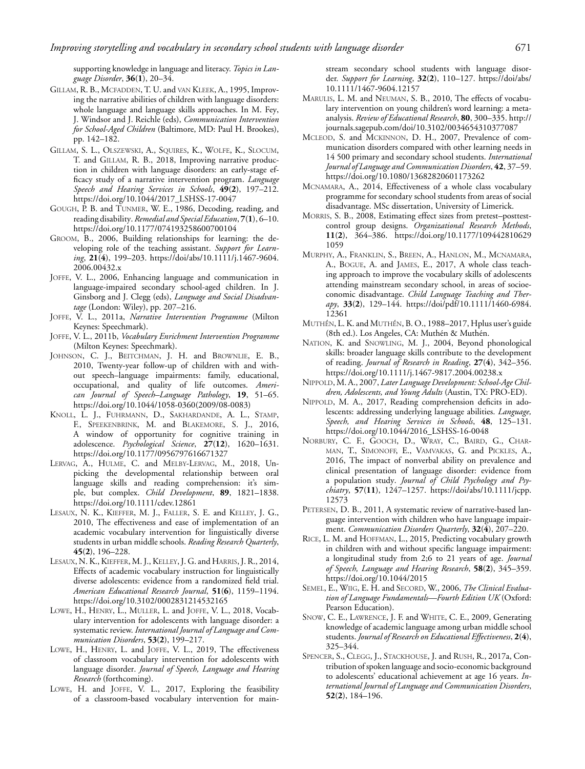supporting knowledge in language and literacy. *Topics in Language Disorder*, **36**(**1**), 20–34.

- GILLAM, R. B., MCFADDEN, T. U. and VAN KLEEK, A., 1995, Improving the narrative abilities of children with language disorders: whole language and language skills approaches. In M. Fey, J. Windsor and J. Reichle (eds), *Communication Intervention for School-Aged Children* (Baltimore, MD: Paul H. Brookes), pp. 142–182.
- GILLAM, S. L., OLSZEWSKI, A., SQUIRES, K., WOLFE, K., SLOCUM, T. and GILLAM, R. B., 2018, Improving narrative production in children with language disorders: an early-stage efficacy study of a narrative intervention program. *Language Speech and Hearing Services in Schools*, **49**(**2**), 197–212. [https://doi.org/10.1044/2017\\_LSHSS-17-0047](https://doi.org/10.1044/2017_LSHSS-17-0047)
- GOUGH, P. B. and TUNMER, W. E., 1986, Decoding, reading, and reading disability. *Remedial and Special Education*, **7**(**1**), 6–10. <https://doi.org/10.1177/074193258600700104>
- GROOM, B., 2006, Building relationships for learning: the developing role of the teaching assistant. *Support for Learning*, **21**(**4**), 199–203. [https://doi/abs/10.1111/j.1467-9604.](https://doi/abs/10.1111/j.1467-9604.2006.00432.x) [2006.00432.x](https://doi/abs/10.1111/j.1467-9604.2006.00432.x)
- JOFFE, V. L., 2006, Enhancing language and communication in language-impaired secondary school-aged children. In J. Ginsborg and J. Clegg (eds), *Language and Social Disadvantage* (London: Wiley), pp. 207–216.
- JOFFE, V. L., 2011a, *Narrative Intervention Programme* (Milton Keynes: Speechmark).
- JOFFE, V. L., 2011b, *Vocabulary Enrichment Intervention Programme* (Milton Keynes: Speechmark).
- JOHNSON, C. J., BEITCHMAN, J. H. and BROWNLIE, E. B., 2010, Twenty-year follow-up of children with and without speech–language impairments: family, educational, occupational, and quality of life outcomes. *American Journal of Speech–Language Pathology*, **19**, 51–65. [https://doi.org/10.1044/1058-0360\(2009/08-0083\)](https://doi.org/10.1044/1058-0360(2009/08-0083))
- KNOLL, L. J., FUHRMANN, D., SAKHARDANDE, A. L., STAMP, F., SPEEKENBRINK, M. and BLAKEMORE, S. J., 2016, A window of opportunity for cognitive training in adolescence. *Psychological Science*, **27**(**12**), 1620–1631. <https://doi.org/10.1177/0956797616671327>
- LERVAG, A., HULME, C. and MELBY-LERVAG, M., 2018, Unpicking the developmental relationship between oral language skills and reading comprehension: it's simple, but complex. *Child Development*, **89**, 1821–1838. <https://doi.org/10.1111/cdev.12861>
- LESAUX, N. K., KIEFFER, M. J., FALLER, S. E. and KELLEY, J. G., 2010, The effectiveness and ease of implementation of an academic vocabulary intervention for linguistically diverse students in urban middle schools. *Reading Research Quarterly*, **45**(**2**), 196–228.
- LESAUX, N. K., KIEFFER, M. J., KELLEY, J. G. and HARRIS, J. R., 2014, Effects of academic vocabulary instruction for linguistically diverse adolescents: evidence from a randomized field trial. *American Educational Research Journal*, **51**(**6**), 1159–1194. <https://doi.org/10.3102/0002831214532165>
- LOWE, H., HENRY, L., MULLER, L. and JOFFE, V. L., 2018, Vocabulary intervention for adolescents with language disorder: a systematic review. *International Journal of Language and Communication Disorders*, **53**(**2**), 199–217.
- LOWE, H., HENRY, L. and JOFFE, V. L., 2019, The effectiveness of classroom vocabulary intervention for adolescents with language disorder. *Journal of Speech, Language and Hearing Research* (forthcoming).
- LOWE, H. and JOFFE, V. L., 2017, Exploring the feasibility of a classroom-based vocabulary intervention for main-

stream secondary school students with language disorder. *Support for Learning*, **32**(**2**), 110–127. [https://doi/abs/](https://doi/abs/10.1111/1467-9604.12157) [10.1111/1467-9604.12157](https://doi/abs/10.1111/1467-9604.12157)

- MARULIS, L. M. and NEUMAN, S. B., 2010, The effects of vocabulary intervention on young children's word learning: a metaanalysis. *Review of Educational Research*, **80**, 300–335. [http://](http://journals.sagepub.com/doi/10.3102/0034654310377087) [journals.sagepub.com/doi/10.3102/0034654310377087](http://journals.sagepub.com/doi/10.3102/0034654310377087)
- MCLEOD, S. and MCKINNON, D. H., 2007, Prevalence of communication disorders compared with other learning needs in 14 500 primary and secondary school students. *International Journal of Language and Communication Disorders*, **42**, 37–59. <https://doi.org/10.1080/13682820601173262>
- MCNAMARA, A., 2014, Effectiveness of a whole class vocabulary programme for secondary school students from areas of social disadvantage. MSc dissertation, University of Limerick.
- MORRIS, S. B., 2008, Estimating effect sizes from pretest–posttestcontrol group designs. *Organizational Research Methods*, **11**(**2**), 364–386. [https://doi.org/10.1177/109442810629](https://doi.org/10.1177/1094428106291059) [1059](https://doi.org/10.1177/1094428106291059)
- MURPHY, A., FRANKLIN, S., BREEN, A., HANLON, M., MCNAMARA, A., BOGUE, A. and JAMES, E., 2017, A whole class teaching approach to improve the vocabulary skills of adolescents attending mainstream secondary school, in areas of socioeconomic disadvantage. *Child Language Teaching and Therapy*, **33**(**2**), 129–144. [https://doi/pdf/10.1111/1460-6984.](https://doi/pdf/10.1111/1460-6984.12361) [12361](https://doi/pdf/10.1111/1460-6984.12361)
- MUTHÉN, L. K. and MUTHÉN, B. O., 1988–2017, Hplus user's guide (8th ed.). Los Angeles, CA: Muthén & Muthén.
- NATION, K. and SNOWLING, M. J., 2004, Beyond phonological skills: broader language skills contribute to the development of reading. *Journal of Research in Reading*, **27**(**4**), 342–356. <https://doi.org/10.1111/j.1467-9817.2004.00238.x>
- NIPPOLD, M. A., 2007, *Later Language Development: School-Age Children, Adolescents, and Young Adults* (Austin, TX: PRO-ED).
- NIPPOLD, M. A., 2017, Reading comprehension deficits in adolescents: addressing underlying language abilities. *Language, Speech, and Hearing Services in Schools*, **48**, 125–131. [https://doi.org/10.1044/2016\\_LSHSS-16-0048](https://doi.org/10.1044/2016_LSHSS-16-0048)
- NORBURY, C. F., GOOCH, D., WRAY, C., BAIRD, G., CHAR-MAN, T., SIMONOFF, E., VAMVAKAS, G. and PICKLES, A., 2016, The impact of nonverbal ability on prevalence and clinical presentation of language disorder: evidence from a population study. *Journal of Child Psychology and Psychiatry*, **57**(**11**), 1247–1257. [https://doi/abs/10.1111/jcpp.](https://doi/abs/10.1111/jcpp.12573) [12573](https://doi/abs/10.1111/jcpp.12573)
- PETERSEN, D. B., 2011, A systematic review of narrative-based language intervention with children who have language impairment. *Communication Disorders Quarterly*, **32**(**4**), 207–220.
- RICE, L. M. and HOFFMAN, L., 2015, Predicting vocabulary growth in children with and without specific language impairment: a longitudinal study from 2;6 to 21 years of age. *Journal of Speech, Language and Hearing Research*, **58**(**2**), 345–359. <https://doi.org/10.1044/2015>
- SEMEL, E., WIIG, E. H. and SECORD, W., 2006, *The Clinical Evaluation of Language Fundamentals—Fourth Edition UK* (Oxford: Pearson Education).
- SNOW, C. E., LAWRENCE, J. F. and WHITE, C. E., 2009, Generating knowledge of academic language among urban middle school students. *Journal of Research on Educational Effectiveness*, **2**(**4**), 325–344.
- SPENCER, S., CLEGG, J., STACKHOUSE, J. and RUSH, R., 2017a, Contribution of spoken language and socio-economic background to adolescents' educational achievement at age 16 years. *International Journal of Language and Communication Disorders*, **52**(**2**), 184–196.